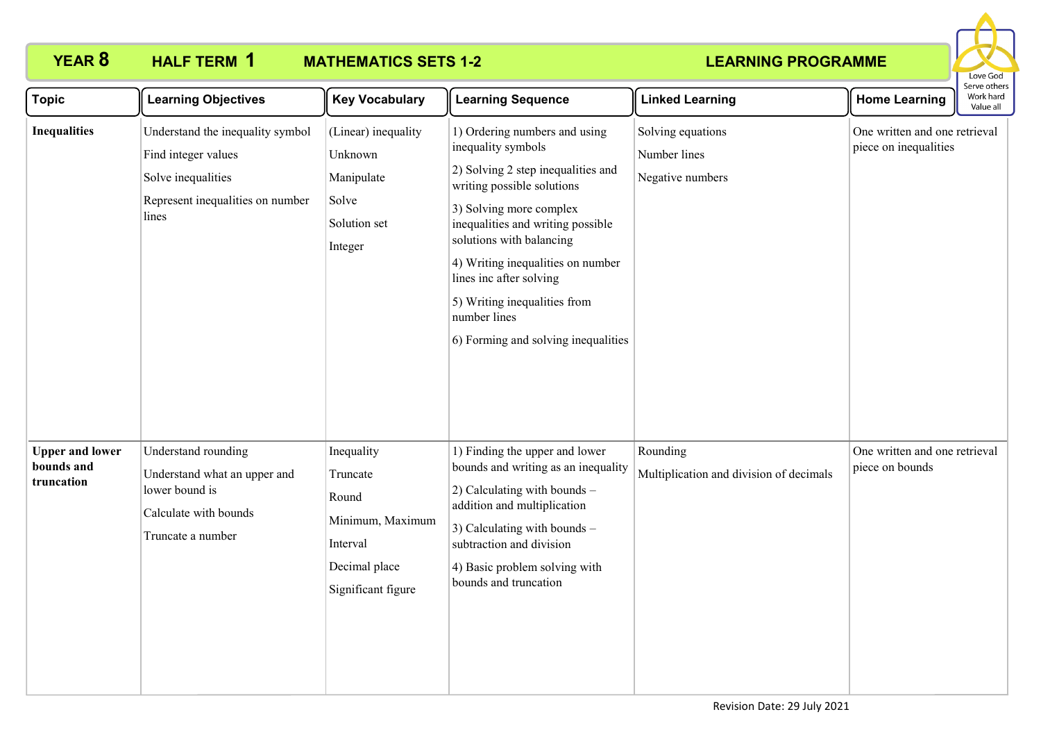

| <b>Topic</b>                                       | <b>Learning Objectives</b>                                                                                                 | <b>Key Vocabulary</b>                                                                                  | <b>Learning Sequence</b>                                                                                                                                                                                                                                                                                                                                                   | <b>Linked Learning</b>                                | <b>Home Learning</b>                                   | Serve others<br>Work hard<br>Value all |
|----------------------------------------------------|----------------------------------------------------------------------------------------------------------------------------|--------------------------------------------------------------------------------------------------------|----------------------------------------------------------------------------------------------------------------------------------------------------------------------------------------------------------------------------------------------------------------------------------------------------------------------------------------------------------------------------|-------------------------------------------------------|--------------------------------------------------------|----------------------------------------|
| <b>Inequalities</b>                                | Understand the inequality symbol<br>Find integer values<br>Solve inequalities<br>Represent inequalities on number<br>lines | (Linear) inequality<br>Unknown<br>Manipulate<br>Solve<br>Solution set<br>Integer                       | 1) Ordering numbers and using<br>inequality symbols<br>2) Solving 2 step inequalities and<br>writing possible solutions<br>3) Solving more complex<br>inequalities and writing possible<br>solutions with balancing<br>4) Writing inequalities on number<br>lines inc after solving<br>5) Writing inequalities from<br>number lines<br>6) Forming and solving inequalities | Solving equations<br>Number lines<br>Negative numbers | One written and one retrieval<br>piece on inequalities |                                        |
| <b>Upper and lower</b><br>bounds and<br>truncation | Understand rounding<br>Understand what an upper and<br>lower bound is<br>Calculate with bounds<br>Truncate a number        | Inequality<br>Truncate<br>Round<br>Minimum, Maximum<br>Interval<br>Decimal place<br>Significant figure | 1) Finding the upper and lower<br>bounds and writing as an inequality<br>2) Calculating with bounds -<br>addition and multiplication<br>3) Calculating with bounds -<br>subtraction and division<br>4) Basic problem solving with<br>bounds and truncation                                                                                                                 | Rounding<br>Multiplication and division of decimals   | One written and one retrieval<br>piece on bounds       |                                        |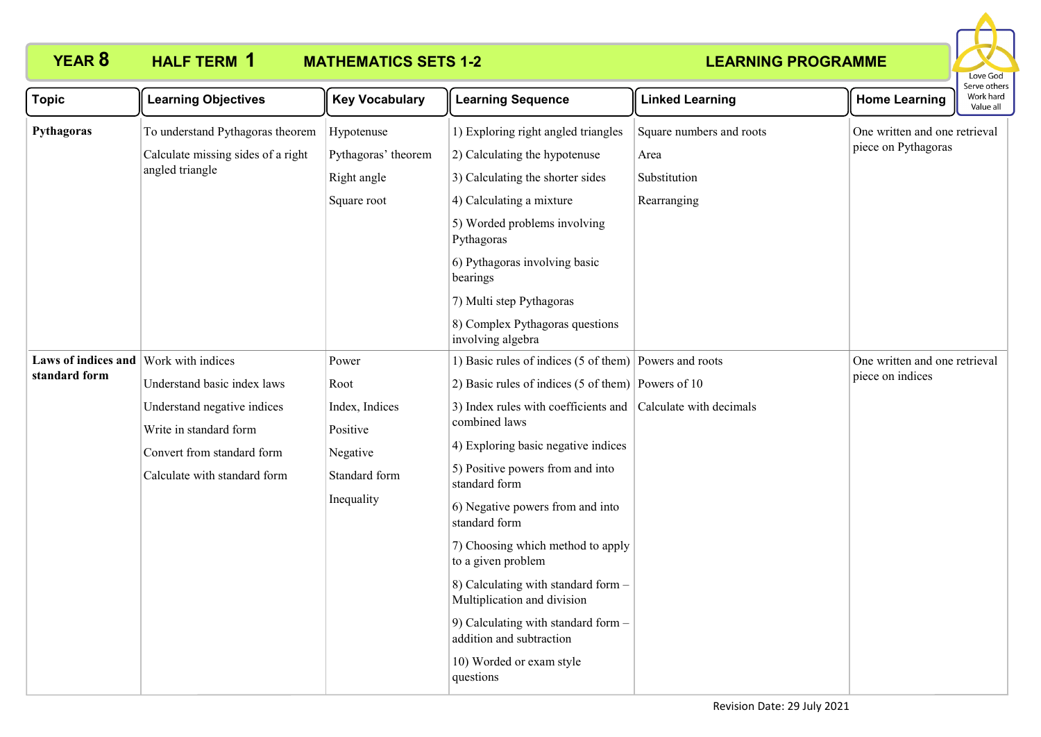# **HALF TERM 1**

# **YEAR 8 HALF TERM MATHEMATICS SETS 1-2**



| <b>Topic</b>                                           | <b>Learning Objectives</b>                                                                                                                         | <b>Key Vocabulary</b>                                                                  | <b>Learning Sequence</b>                                                                                                                                                                                                                                                                                                                                                                                                                                                                                                                                                                    | <b>Linked Learning</b>                                          | <b>Home Learning</b>                                 | כו עכ טנווכו.<br>Work hard<br>Value all |
|--------------------------------------------------------|----------------------------------------------------------------------------------------------------------------------------------------------------|----------------------------------------------------------------------------------------|---------------------------------------------------------------------------------------------------------------------------------------------------------------------------------------------------------------------------------------------------------------------------------------------------------------------------------------------------------------------------------------------------------------------------------------------------------------------------------------------------------------------------------------------------------------------------------------------|-----------------------------------------------------------------|------------------------------------------------------|-----------------------------------------|
| Pythagoras                                             | To understand Pythagoras theorem<br>Calculate missing sides of a right<br>angled triangle                                                          | Hypotenuse<br>Pythagoras' theorem<br>Right angle<br>Square root                        | 1) Exploring right angled triangles<br>2) Calculating the hypotenuse<br>3) Calculating the shorter sides<br>4) Calculating a mixture<br>5) Worded problems involving<br>Pythagoras<br>6) Pythagoras involving basic<br>bearings<br>7) Multi step Pythagoras<br>8) Complex Pythagoras questions<br>involving algebra                                                                                                                                                                                                                                                                         | Square numbers and roots<br>Area<br>Substitution<br>Rearranging | One written and one retrieval<br>piece on Pythagoras |                                         |
| Laws of indices and Work with indices<br>standard form | Understand basic index laws<br>Understand negative indices<br>Write in standard form<br>Convert from standard form<br>Calculate with standard form | Power<br>Root<br>Index, Indices<br>Positive<br>Negative<br>Standard form<br>Inequality | 1) Basic rules of indices (5 of them) Powers and roots<br>2) Basic rules of indices (5 of them) Powers of 10<br>3) Index rules with coefficients and Calculate with decimals<br>combined laws<br>4) Exploring basic negative indices<br>5) Positive powers from and into<br>standard form<br>6) Negative powers from and into<br>standard form<br>7) Choosing which method to apply<br>to a given problem<br>8) Calculating with standard form -<br>Multiplication and division<br>9) Calculating with standard form -<br>addition and subtraction<br>10) Worded or exam style<br>questions |                                                                 | One written and one retrieval<br>piece on indices    |                                         |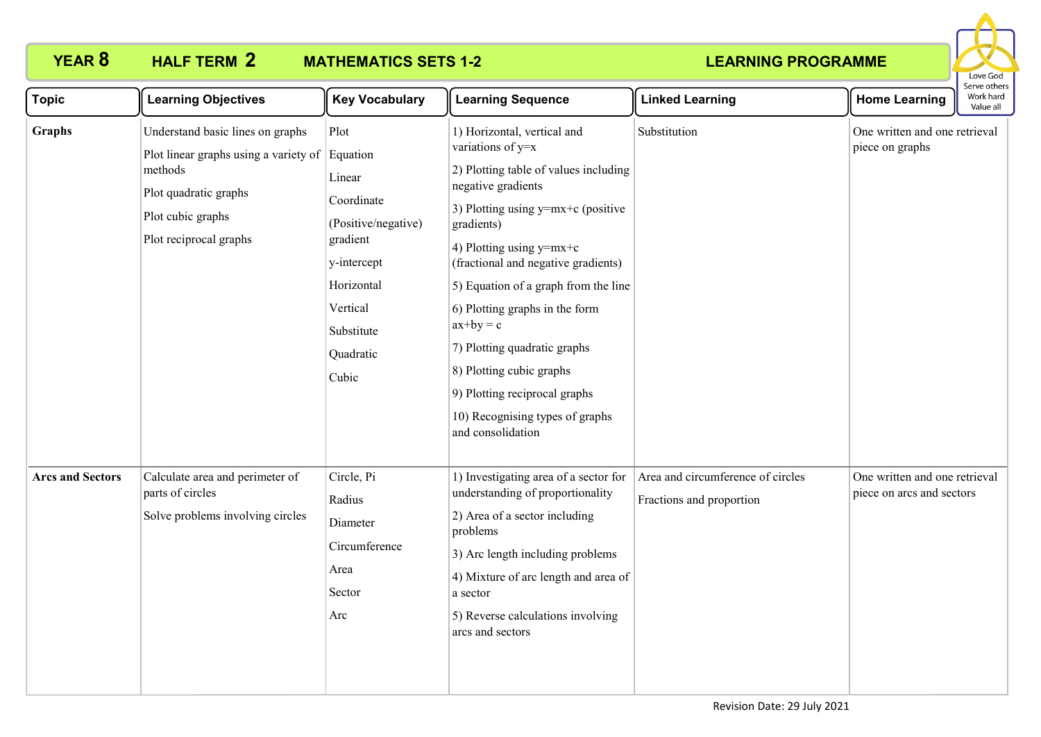

| <b>Topic</b>            | <b>Learning Objectives</b>                                                                                                                                            | <b>Key Vocabulary</b>                                                                                                                        | <b>Learning Sequence</b>                                                                                                                                                                                                                                                                                                                                                                                                                                                                 | <b>Linked Learning</b>                                        | <b>Home Learning</b>                                       | בו אב סנווכו:<br>Work hard<br>Value all |
|-------------------------|-----------------------------------------------------------------------------------------------------------------------------------------------------------------------|----------------------------------------------------------------------------------------------------------------------------------------------|------------------------------------------------------------------------------------------------------------------------------------------------------------------------------------------------------------------------------------------------------------------------------------------------------------------------------------------------------------------------------------------------------------------------------------------------------------------------------------------|---------------------------------------------------------------|------------------------------------------------------------|-----------------------------------------|
| <b>Graphs</b>           | Understand basic lines on graphs<br>Plot linear graphs using a variety of Equation<br>methods<br>Plot quadratic graphs<br>Plot cubic graphs<br>Plot reciprocal graphs | Plot<br>Linear<br>Coordinate<br>(Positive/negative)<br>gradient<br>y-intercept<br>Horizontal<br>Vertical<br>Substitute<br>Quadratic<br>Cubic | 1) Horizontal, vertical and<br>variations of y=x<br>2) Plotting table of values including<br>negative gradients<br>3) Plotting using $y=mx+c$ (positive<br>gradients)<br>4) Plotting using $y=mx+c$<br>(fractional and negative gradients)<br>5) Equation of a graph from the line<br>6) Plotting graphs in the form<br>$ax+by = c$<br>7) Plotting quadratic graphs<br>8) Plotting cubic graphs<br>9) Plotting reciprocal graphs<br>10) Recognising types of graphs<br>and consolidation | Substitution                                                  | One written and one retrieval<br>piece on graphs           |                                         |
| <b>Arcs and Sectors</b> | Calculate area and perimeter of<br>parts of circles<br>Solve problems involving circles                                                                               | Circle, Pi<br>Radius<br>Diameter<br>Circumference<br>Area<br>Sector<br>Arc                                                                   | 1) Investigating area of a sector for<br>understanding of proportionality<br>2) Area of a sector including<br>problems<br>3) Arc length including problems<br>4) Mixture of arc length and area of<br>a sector<br>5) Reverse calculations involving<br>arcs and sectors                                                                                                                                                                                                                  | Area and circumference of circles<br>Fractions and proportion | One written and one retrieval<br>piece on arcs and sectors |                                         |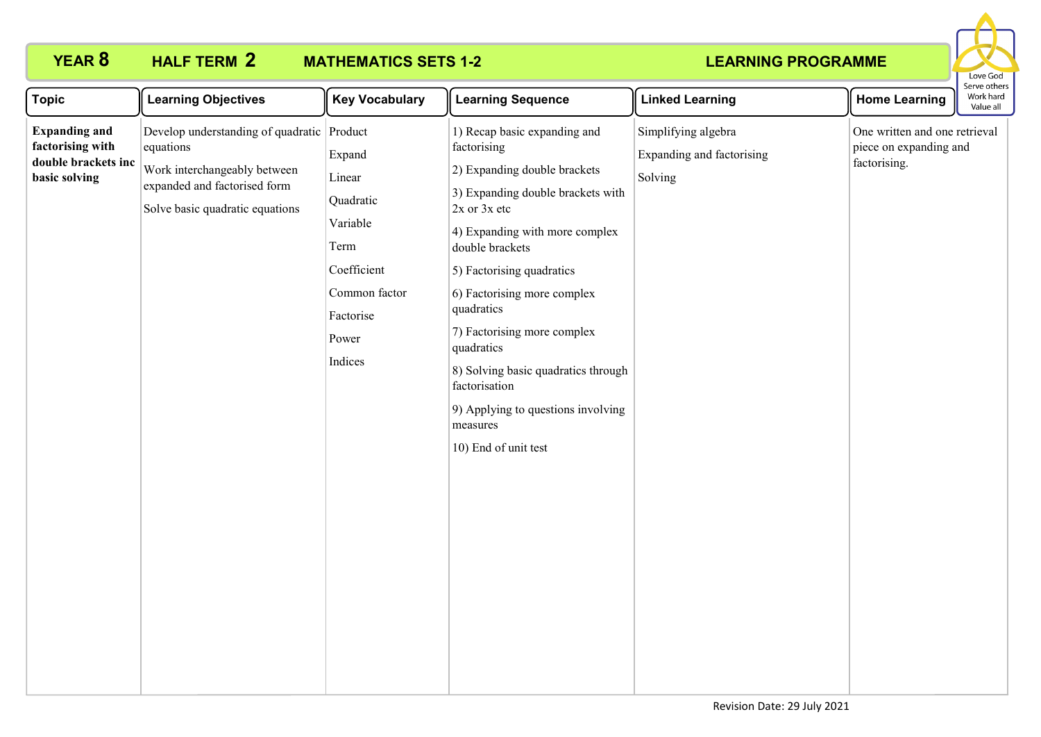# **HALF TERM 2**

# **YEAR 8 HALF TERM MATHEMATICS SETS 1-2**



| <b>Topic</b>                                                                     | <b>Learning Objectives</b>                                                                                                                                 | <b>Key Vocabulary</b>                                                                                              | <b>Learning Sequence</b>                                                                                                                                                                                                                                                                                                                                                                                                                           | <b>Linked Learning</b>                                      | <b>Home Learning</b>                                                    | Serve others<br>Work hard<br>Value all |
|----------------------------------------------------------------------------------|------------------------------------------------------------------------------------------------------------------------------------------------------------|--------------------------------------------------------------------------------------------------------------------|----------------------------------------------------------------------------------------------------------------------------------------------------------------------------------------------------------------------------------------------------------------------------------------------------------------------------------------------------------------------------------------------------------------------------------------------------|-------------------------------------------------------------|-------------------------------------------------------------------------|----------------------------------------|
| <b>Expanding and</b><br>factorising with<br>double brackets inc<br>basic solving | Develop understanding of quadratic Product<br>equations<br>Work interchangeably between<br>expanded and factorised form<br>Solve basic quadratic equations | Expand<br>Linear<br>Quadratic<br>Variable<br>Term<br>Coefficient<br>Common factor<br>Factorise<br>Power<br>Indices | 1) Recap basic expanding and<br>factorising<br>2) Expanding double brackets<br>3) Expanding double brackets with<br>$2x$ or $3x$ etc<br>4) Expanding with more complex<br>double brackets<br>5) Factorising quadratics<br>6) Factorising more complex<br>quadratics<br>7) Factorising more complex<br>quadratics<br>8) Solving basic quadratics through<br>factorisation<br>9) Applying to questions involving<br>measures<br>10) End of unit test | Simplifying algebra<br>Expanding and factorising<br>Solving | One written and one retrieval<br>piece on expanding and<br>factorising. |                                        |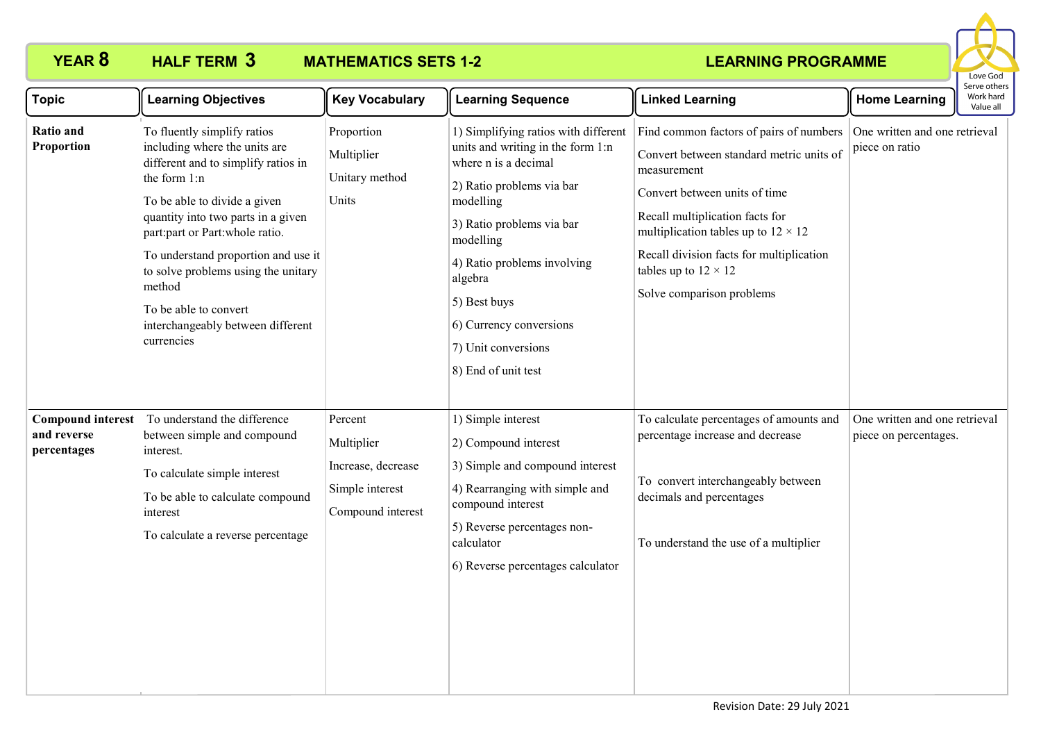

| <b>Topic</b>                                           | <b>Learning Objectives</b>                                                                                                                                                                                                                                                                                                                                                                      | <b>Key Vocabulary</b>                                                               | <b>Learning Sequence</b>                                                                                                                                                                                                                                                                                                 | <b>Linked Learning</b>                                                                                                                                                                                                                                                                                                         | <b>Home Learning</b>                                   | Serve others<br>Work hard<br>Value all |
|--------------------------------------------------------|-------------------------------------------------------------------------------------------------------------------------------------------------------------------------------------------------------------------------------------------------------------------------------------------------------------------------------------------------------------------------------------------------|-------------------------------------------------------------------------------------|--------------------------------------------------------------------------------------------------------------------------------------------------------------------------------------------------------------------------------------------------------------------------------------------------------------------------|--------------------------------------------------------------------------------------------------------------------------------------------------------------------------------------------------------------------------------------------------------------------------------------------------------------------------------|--------------------------------------------------------|----------------------------------------|
| <b>Ratio and</b><br>Proportion                         | To fluently simplify ratios<br>including where the units are<br>different and to simplify ratios in<br>the form 1:n<br>To be able to divide a given<br>quantity into two parts in a given<br>part:part or Part:whole ratio.<br>To understand proportion and use it<br>to solve problems using the unitary<br>method<br>To be able to convert<br>interchangeably between different<br>currencies | Proportion<br>Multiplier<br>Unitary method<br>Units                                 | 1) Simplifying ratios with different<br>units and writing in the form 1:n<br>where n is a decimal<br>2) Ratio problems via bar<br>modelling<br>3) Ratio problems via bar<br>modelling<br>4) Ratio problems involving<br>algebra<br>5) Best buys<br>6) Currency conversions<br>7) Unit conversions<br>8) End of unit test | Find common factors of pairs of numbers  <br>Convert between standard metric units of<br>measurement<br>Convert between units of time<br>Recall multiplication facts for<br>multiplication tables up to $12 \times 12$<br>Recall division facts for multiplication<br>tables up to $12 \times 12$<br>Solve comparison problems | One written and one retrieval<br>piece on ratio        |                                        |
| <b>Compound interest</b><br>and reverse<br>percentages | To understand the difference<br>between simple and compound<br>interest.<br>To calculate simple interest<br>To be able to calculate compound<br>interest<br>To calculate a reverse percentage                                                                                                                                                                                                   | Percent<br>Multiplier<br>Increase, decrease<br>Simple interest<br>Compound interest | 1) Simple interest<br>2) Compound interest<br>3) Simple and compound interest<br>4) Rearranging with simple and<br>compound interest<br>5) Reverse percentages non-<br>calculator<br>6) Reverse percentages calculator                                                                                                   | To calculate percentages of amounts and<br>percentage increase and decrease<br>To convert interchangeably between<br>decimals and percentages<br>To understand the use of a multiplier                                                                                                                                         | One written and one retrieval<br>piece on percentages. |                                        |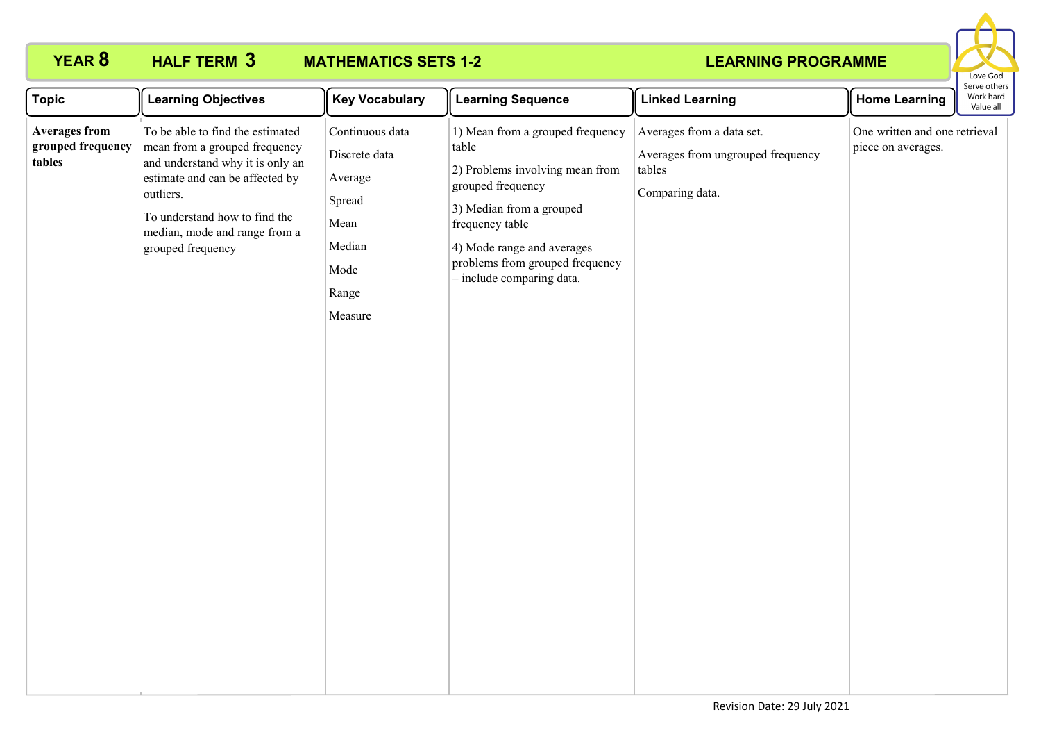

| <b>Topic</b>                                        | <b>Learning Objectives</b>                                                                                                                                                                                                                   | <b>Key Vocabulary</b>                                                                               | <b>Learning Sequence</b>                                                                                                                                                                                                                       | <b>Linked Learning</b>                                                                      | <b>Home Learning</b>                                | Serve others<br>Work hard<br>Value all |
|-----------------------------------------------------|----------------------------------------------------------------------------------------------------------------------------------------------------------------------------------------------------------------------------------------------|-----------------------------------------------------------------------------------------------------|------------------------------------------------------------------------------------------------------------------------------------------------------------------------------------------------------------------------------------------------|---------------------------------------------------------------------------------------------|-----------------------------------------------------|----------------------------------------|
| <b>Averages from</b><br>grouped frequency<br>tables | To be able to find the estimated<br>mean from a grouped frequency<br>and understand why it is only an<br>estimate and can be affected by<br>outliers.<br>To understand how to find the<br>median, mode and range from a<br>grouped frequency | Continuous data<br>Discrete data<br>Average<br>Spread<br>Mean<br>Median<br>Mode<br>Range<br>Measure | 1) Mean from a grouped frequency<br>table<br>2) Problems involving mean from<br>grouped frequency<br>3) Median from a grouped<br>frequency table<br>4) Mode range and averages<br>problems from grouped frequency<br>- include comparing data. | Averages from a data set.<br>Averages from ungrouped frequency<br>tables<br>Comparing data. | One written and one retrieval<br>piece on averages. |                                        |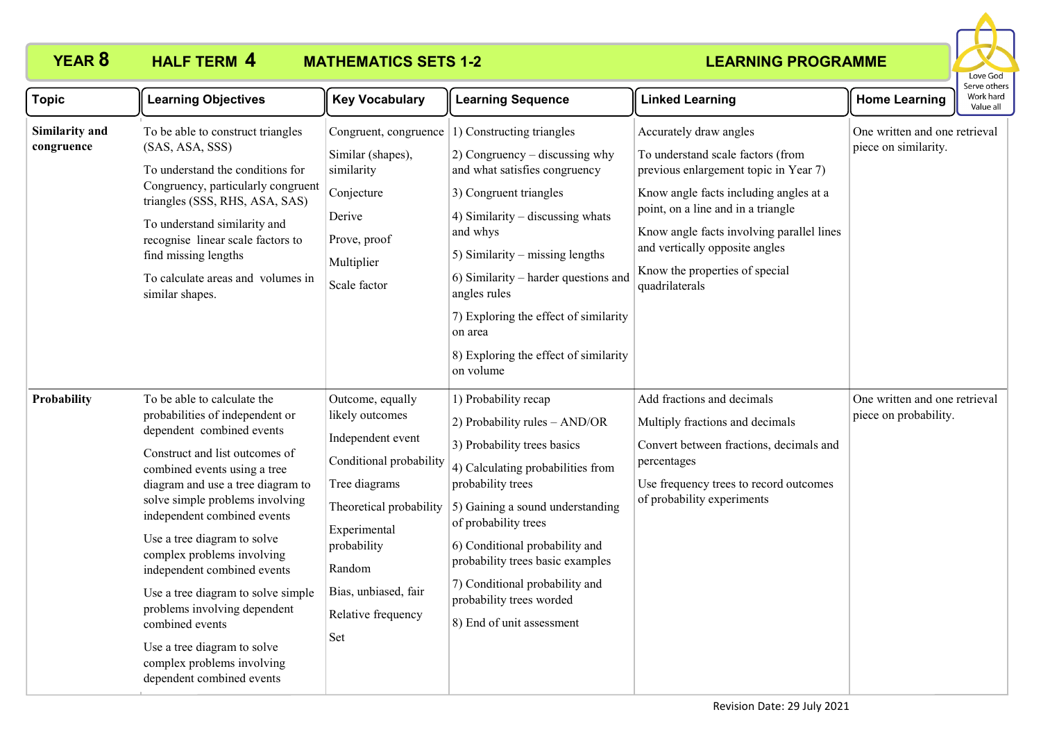

| <b>Topic</b>                 | <b>Learning Objectives</b>                                                                                                                                                                                                                                                                                                                                                                                                                                                                                                                          | <b>Key Vocabulary</b>                                                                                                                                                                                                         | <b>Learning Sequence</b>                                                                                                                                                                                                                                                                                                                                                                                     | <b>Linked Learning</b>                                                                                                                                                                                                                                                                                                  | <b>Home Learning</b>                                   | serve others<br>Work hard<br>Value all |
|------------------------------|-----------------------------------------------------------------------------------------------------------------------------------------------------------------------------------------------------------------------------------------------------------------------------------------------------------------------------------------------------------------------------------------------------------------------------------------------------------------------------------------------------------------------------------------------------|-------------------------------------------------------------------------------------------------------------------------------------------------------------------------------------------------------------------------------|--------------------------------------------------------------------------------------------------------------------------------------------------------------------------------------------------------------------------------------------------------------------------------------------------------------------------------------------------------------------------------------------------------------|-------------------------------------------------------------------------------------------------------------------------------------------------------------------------------------------------------------------------------------------------------------------------------------------------------------------------|--------------------------------------------------------|----------------------------------------|
| Similarity and<br>congruence | To be able to construct triangles<br>(SAS, ASA, SSS)<br>To understand the conditions for<br>Congruency, particularly congruent<br>triangles (SSS, RHS, ASA, SAS)<br>To understand similarity and<br>recognise linear scale factors to<br>find missing lengths<br>To calculate areas and volumes in<br>similar shapes.                                                                                                                                                                                                                               | Similar (shapes),<br>similarity<br>Conjecture<br>Derive<br>Prove, proof<br>Multiplier<br>Scale factor                                                                                                                         | Congruent, congruence $ 1\rangle$ Constructing triangles<br>2) Congruency – discussing why<br>and what satisfies congruency<br>3) Congruent triangles<br>4) Similarity $-$ discussing whats<br>and whys<br>5) Similarity – missing lengths<br>6) Similarity – harder questions and<br>angles rules<br>7) Exploring the effect of similarity<br>on area<br>8) Exploring the effect of similarity<br>on volume | Accurately draw angles<br>To understand scale factors (from<br>previous enlargement topic in Year 7)<br>Know angle facts including angles at a<br>point, on a line and in a triangle<br>Know angle facts involving parallel lines<br>and vertically opposite angles<br>Know the properties of special<br>quadrilaterals | One written and one retrieval<br>piece on similarity.  |                                        |
| Probability                  | To be able to calculate the<br>probabilities of independent or<br>dependent combined events<br>Construct and list outcomes of<br>combined events using a tree<br>diagram and use a tree diagram to<br>solve simple problems involving<br>independent combined events<br>Use a tree diagram to solve<br>complex problems involving<br>independent combined events<br>Use a tree diagram to solve simple<br>problems involving dependent<br>combined events<br>Use a tree diagram to solve<br>complex problems involving<br>dependent combined events | Outcome, equally<br>likely outcomes<br>Independent event<br>Conditional probability<br>Tree diagrams<br>Theoretical probability<br>Experimental<br>probability<br>Random<br>Bias, unbiased, fair<br>Relative frequency<br>Set | 1) Probability recap<br>2) Probability rules - AND/OR<br>3) Probability trees basics<br>4) Calculating probabilities from<br>probability trees<br>5) Gaining a sound understanding<br>of probability trees<br>6) Conditional probability and<br>probability trees basic examples<br>7) Conditional probability and<br>probability trees worded<br>8) End of unit assessment                                  | Add fractions and decimals<br>Multiply fractions and decimals<br>Convert between fractions, decimals and<br>percentages<br>Use frequency trees to record outcomes<br>of probability experiments                                                                                                                         | One written and one retrieval<br>piece on probability. |                                        |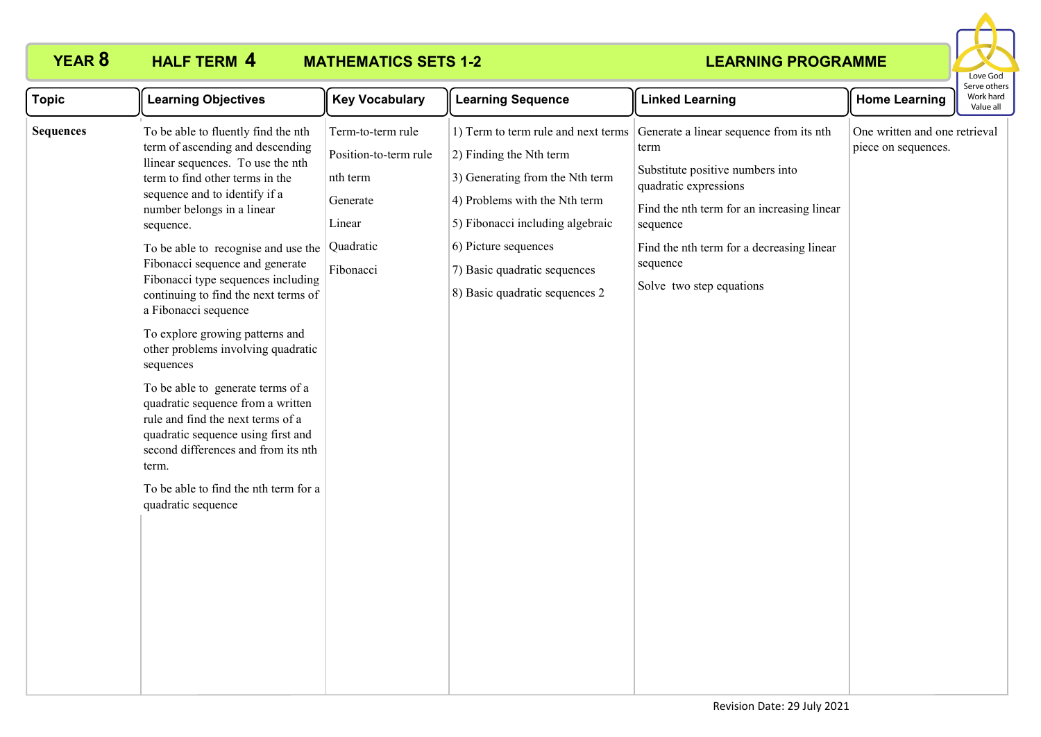**HALF TERM 4** 

# **YEAR 8 HALF TERM MATHEMATICS SETS 1-2**



| <b>Topic</b>     | <b>Learning Objectives</b>                                                                                                                                                                                                                                                                                                                                                                                                                                                                                                                                                                                                                                                                    | <b>Key Vocabulary</b>                                                                                  | <b>Learning Sequence</b>                                                                                                                                                                                                                                         | <b>Linked Learning</b>                                                                                                                                                                                                                                      | <b>Home Learning</b>                                 | Work hard<br>Value all |
|------------------|-----------------------------------------------------------------------------------------------------------------------------------------------------------------------------------------------------------------------------------------------------------------------------------------------------------------------------------------------------------------------------------------------------------------------------------------------------------------------------------------------------------------------------------------------------------------------------------------------------------------------------------------------------------------------------------------------|--------------------------------------------------------------------------------------------------------|------------------------------------------------------------------------------------------------------------------------------------------------------------------------------------------------------------------------------------------------------------------|-------------------------------------------------------------------------------------------------------------------------------------------------------------------------------------------------------------------------------------------------------------|------------------------------------------------------|------------------------|
| <b>Sequences</b> | To be able to fluently find the nth<br>term of ascending and descending<br>llinear sequences. To use the nth<br>term to find other terms in the<br>sequence and to identify if a<br>number belongs in a linear<br>sequence.<br>To be able to recognise and use the<br>Fibonacci sequence and generate<br>Fibonacci type sequences including<br>continuing to find the next terms of<br>a Fibonacci sequence<br>To explore growing patterns and<br>other problems involving quadratic<br>sequences<br>To be able to generate terms of a<br>quadratic sequence from a written<br>rule and find the next terms of a<br>quadratic sequence using first and<br>second differences and from its nth | Term-to-term rule<br>Position-to-term rule<br>nth term<br>Generate<br>Linear<br>Quadratic<br>Fibonacci | 1) Term to term rule and next terms<br>2) Finding the Nth term<br>3) Generating from the Nth term<br>4) Problems with the Nth term<br>5) Fibonacci including algebraic<br>6) Picture sequences<br>7) Basic quadratic sequences<br>8) Basic quadratic sequences 2 | Generate a linear sequence from its nth<br>term<br>Substitute positive numbers into<br>quadratic expressions<br>Find the nth term for an increasing linear<br>sequence<br>Find the nth term for a decreasing linear<br>sequence<br>Solve two step equations | One written and one retrieval<br>piece on sequences. | Serve others           |
|                  | term.<br>To be able to find the nth term for a<br>quadratic sequence                                                                                                                                                                                                                                                                                                                                                                                                                                                                                                                                                                                                                          |                                                                                                        |                                                                                                                                                                                                                                                                  |                                                                                                                                                                                                                                                             |                                                      |                        |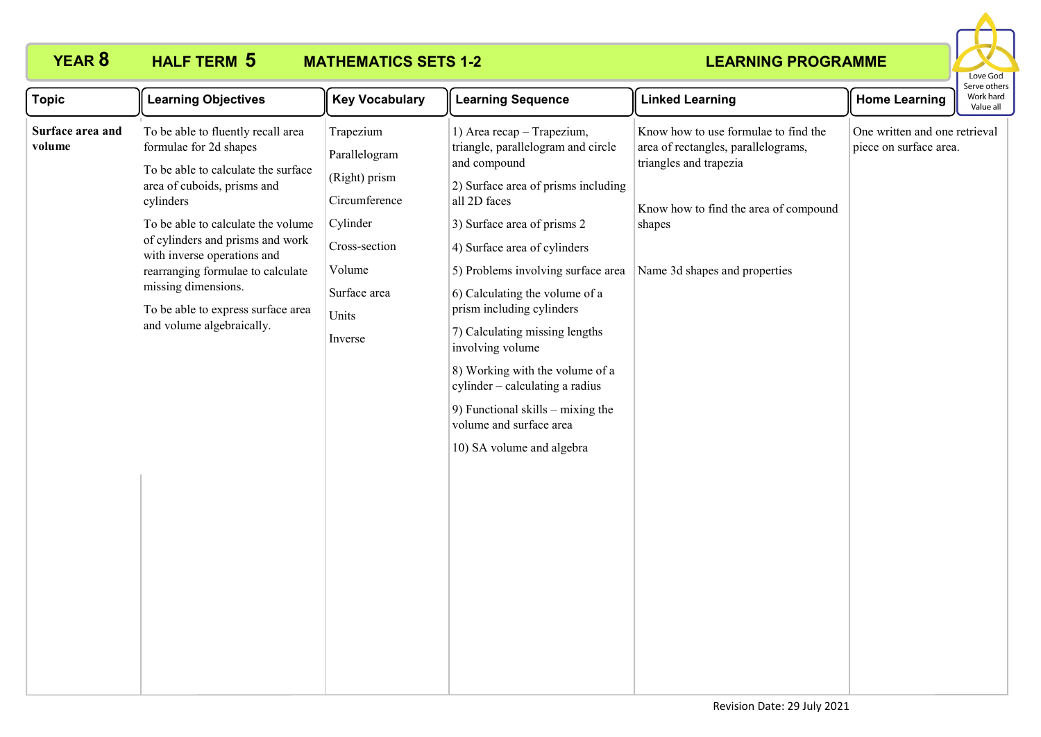

| To be able to fluently recall area<br>Trapezium<br>1) Area recap - Trapezium,<br>Know how to use formulae to find the<br>One written and one retrieval<br>triangle, parallelogram and circle<br>formulae for 2d shapes<br>area of rectangles, parallelograms,<br>piece on surface area.<br>Parallelogram<br>triangles and trapezia<br>and compound<br>To be able to calculate the surface<br>(Right) prism<br>area of cuboids, prisms and<br>2) Surface area of prisms including<br>Circumference<br>all 2D faces<br>cylinders<br>Know how to find the area of compound<br>To be able to calculate the volume<br>Cylinder<br>3) Surface area of prisms 2<br>shapes<br>of cylinders and prisms and work<br>Cross-section<br>4) Surface area of cylinders<br>with inverse operations and<br>Volume<br>Name 3d shapes and properties<br>rearranging formulae to calculate<br>5) Problems involving surface area<br>missing dimensions.<br>Surface area<br>6) Calculating the volume of a<br>prism including cylinders<br>To be able to express surface area<br>Units<br>and volume algebraically.<br>7) Calculating missing lengths<br>Inverse<br>involving volume<br>8) Working with the volume of a<br>cylinder - calculating a radius<br>9) Functional skills - mixing the<br>volume and surface area<br>10) SA volume and algebra | <b>Topic</b>               | <b>Learning Objectives</b> | <b>Key Vocabulary</b> | <b>Learning Sequence</b> | <b>Linked Learning</b> | <b>Home Learning</b> | Serve others<br>Work hard<br>Value all |
|------------------------------------------------------------------------------------------------------------------------------------------------------------------------------------------------------------------------------------------------------------------------------------------------------------------------------------------------------------------------------------------------------------------------------------------------------------------------------------------------------------------------------------------------------------------------------------------------------------------------------------------------------------------------------------------------------------------------------------------------------------------------------------------------------------------------------------------------------------------------------------------------------------------------------------------------------------------------------------------------------------------------------------------------------------------------------------------------------------------------------------------------------------------------------------------------------------------------------------------------------------------------------------------------------------------------------------|----------------------------|----------------------------|-----------------------|--------------------------|------------------------|----------------------|----------------------------------------|
|                                                                                                                                                                                                                                                                                                                                                                                                                                                                                                                                                                                                                                                                                                                                                                                                                                                                                                                                                                                                                                                                                                                                                                                                                                                                                                                                    | Surface area and<br>volume |                            |                       |                          |                        |                      |                                        |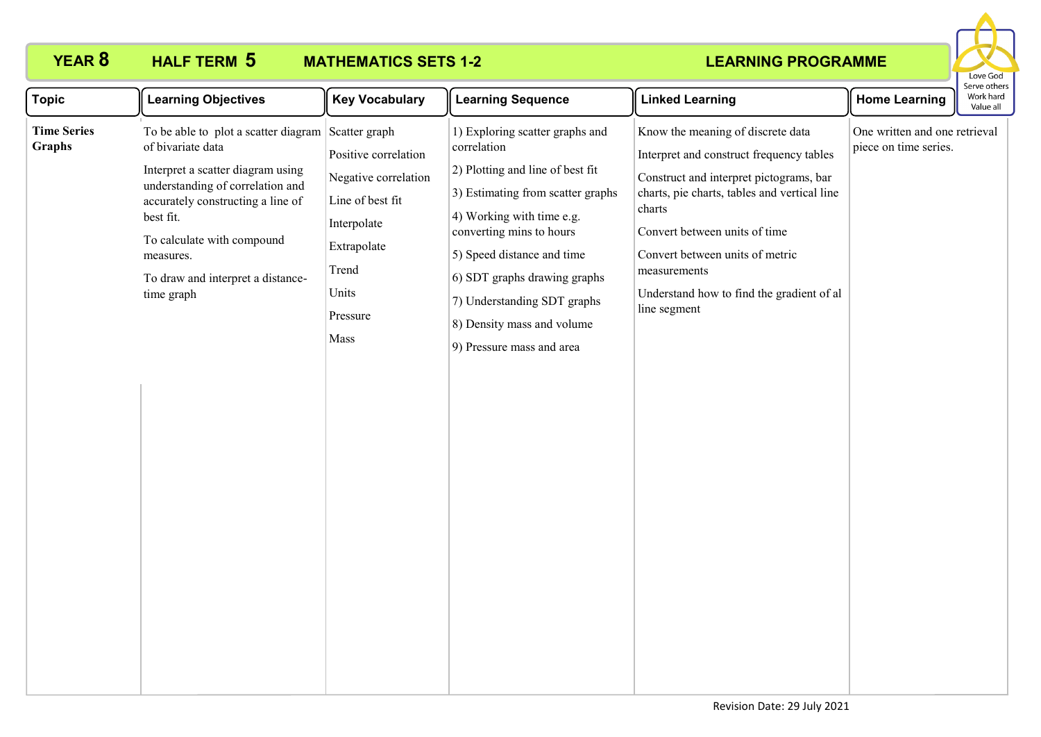

| <b>Topic</b>                        | <b>Learning Objectives</b>                                                                                                                                                                                                                                                                       | <b>Key Vocabulary</b>                                                                                                                | <b>Learning Sequence</b>                                                                                                                                                                                                                                                                                                                 | <b>Linked Learning</b>                                                                                                                                                                                                                                                                                                              | <b>Home Learning</b>                                   | Serve othel<br>Work hard<br>Value all |
|-------------------------------------|--------------------------------------------------------------------------------------------------------------------------------------------------------------------------------------------------------------------------------------------------------------------------------------------------|--------------------------------------------------------------------------------------------------------------------------------------|------------------------------------------------------------------------------------------------------------------------------------------------------------------------------------------------------------------------------------------------------------------------------------------------------------------------------------------|-------------------------------------------------------------------------------------------------------------------------------------------------------------------------------------------------------------------------------------------------------------------------------------------------------------------------------------|--------------------------------------------------------|---------------------------------------|
| <b>Time Series</b><br><b>Graphs</b> | To be able to plot a scatter diagram Scatter graph<br>of bivariate data<br>Interpret a scatter diagram using<br>understanding of correlation and<br>accurately constructing a line of<br>best fit.<br>To calculate with compound<br>measures.<br>To draw and interpret a distance-<br>time graph | Positive correlation<br>Negative correlation<br>Line of best fit<br>Interpolate<br>Extrapolate<br>Trend<br>Units<br>Pressure<br>Mass | 1) Exploring scatter graphs and<br>correlation<br>2) Plotting and line of best fit<br>3) Estimating from scatter graphs<br>4) Working with time e.g.<br>converting mins to hours<br>5) Speed distance and time<br>6) SDT graphs drawing graphs<br>7) Understanding SDT graphs<br>8) Density mass and volume<br>9) Pressure mass and area | Know the meaning of discrete data<br>Interpret and construct frequency tables<br>Construct and interpret pictograms, bar<br>charts, pie charts, tables and vertical line<br>charts<br>Convert between units of time<br>Convert between units of metric<br>measurements<br>Understand how to find the gradient of al<br>line segment | One written and one retrieval<br>piece on time series. |                                       |